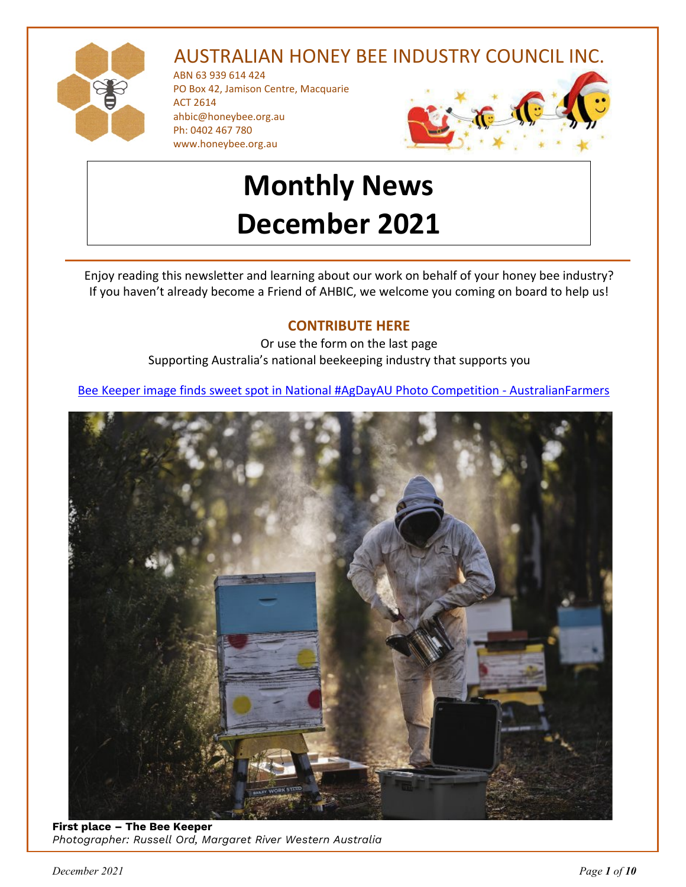

# AUSTRALIAN HONEY BEE INDUSTRY COUNCIL INC.

ABN 63 939 614 424 PO Box 42, Jamison Centre, Macquarie ACT 2614 [ahbic@honeybee.org.au](mailto:ahbic@honeybee.org.au) Ph: 0402 467 780 www.honeybee.org.au



# **Monthly News December 2021**

Enjoy reading this newsletter and learning about our work on behalf of your honey bee industry? If you haven't already become a Friend of AHBIC, we welcome you coming on board to help us!

## **[CONTRIBUTE HERE](https://honeybee.org.au/friends-of-ahbic-voluntary-contribution/)**

Or use the form on the last page Supporting Australia's national beekeeping industry that supports you

[Bee Keeper image finds sweet spot in National #AgDayAU Photo Competition -](https://farmers.org.au/news/beekeeper-image-finds-sweet-spot-in-national-agdayau-photo-competition/) AustralianFarmers



**First place – The Bee Keeper** *Photographer: Russell Ord, Margaret River Western Australia*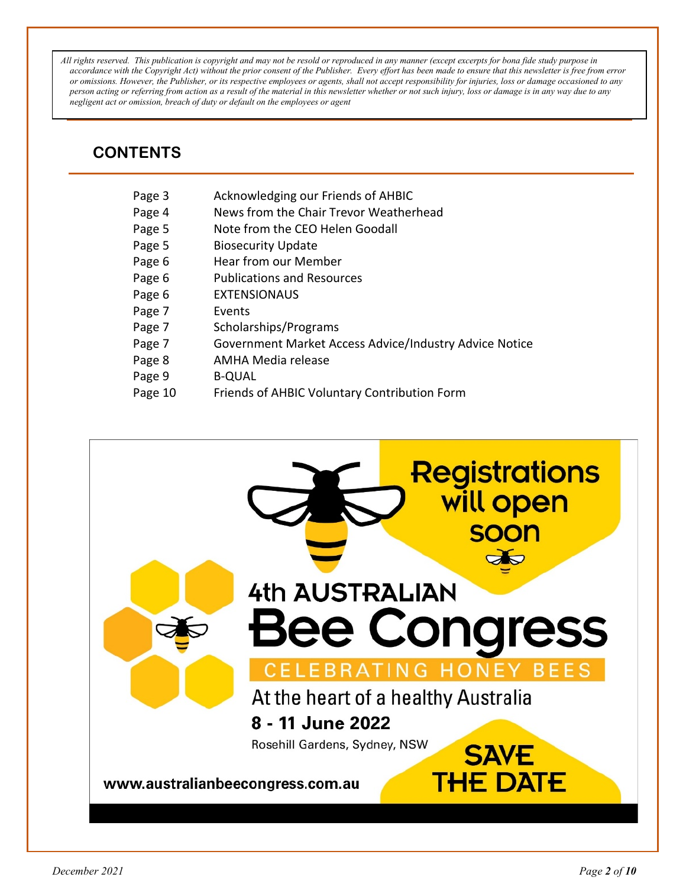*All rights reserved. This publication is copyright and may not be resold or reproduced in any manner (except excerpts for bona fide study purpose in accordance with the Copyright Act) without the prior consent of the Publisher. Every effort has been made to ensure that this newsletter is free from error or omissions. However, the Publisher, or its respective employees or agents, shall not accept responsibility for injuries, loss or damage occasioned to any person acting or referring from action as a result of the material in this newsletter whether or not such injury, loss or damage is in any way due to any negligent act or omission, breach of duty or default on the employees or agent*

# **CONTENTS**

| Page 3 | Acknowledging our Friends of AHBIC |
|--------|------------------------------------|
|--------|------------------------------------|

- Page 4 News from the Chair Trevor Weatherhead
- Page 5 Note from the CEO Helen Goodall
- Page 5 Biosecurity Update
- Page 6 Hear from our Member
- Page 6 Publications and Resources
- Page 6 EXTENSIONAUS
- Page 7 Events
- Page 7 Scholarships/Programs
- Page 7 Government Market Access Advice/Industry Advice Notice
- Page 8 AMHA Media release
- Page 9 B-QUAL
- Page 10 Friends of AHBIC Voluntary Contribution Form

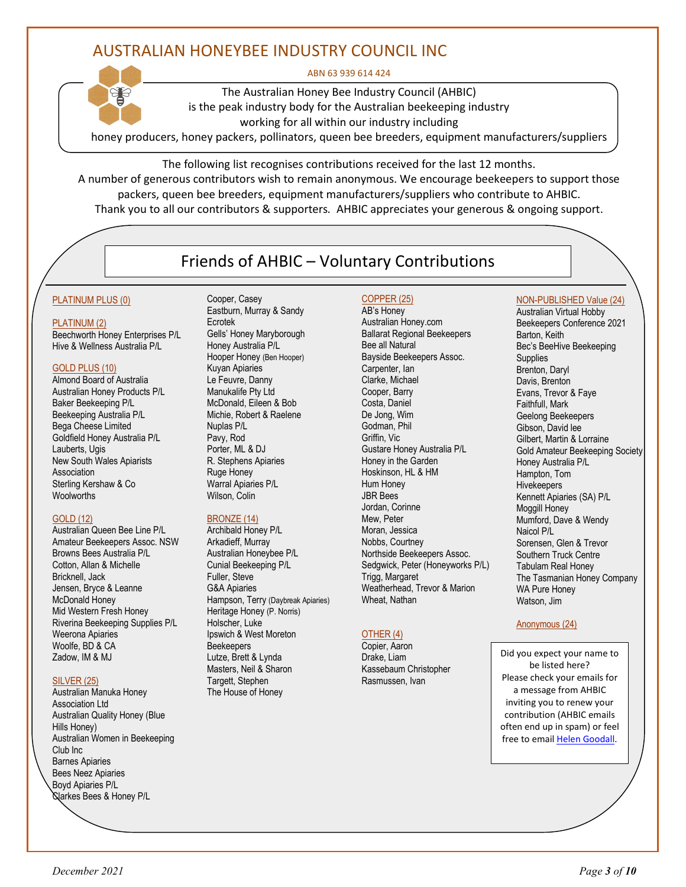## AUSTRALIAN HONEYBEE INDUSTRY COUNCIL INC

#### ABN 63 939 614 424



The Australian Honey Bee Industry Council (AHBIC) is the peak industry body for the Australian beekeeping industry working for all within our industry including

honey producers, honey packers, pollinators, queen bee breeders, equipment manufacturers/suppliers

The following list recognises contributions received for the last 12 months. A number of generous contributors wish to remain anonymous. We encourage beekeepers to support those packers, queen bee breeders, equipment manufacturers/suppliers who contribute to AHBIC. Thank you to all our contributors & supporters*.* AHBIC appreciates your generous & ongoing support.

# Friends of AHBIC – Voluntary Contributions

#### PLATINUM PLUS (0)

#### PLATINUM (2)

Beechworth Honey Enterprises P/L Hive & Wellness Australia P/L

#### GOLD PLUS (10)

Almond Board of Australia Australian Honey Products P/L Baker Beekeeping P/L Beekeeping Australia P/L Bega Cheese Limited Goldfield Honey Australia P/L Lauberts, Ugis New South Wales Apiarists Association Sterling Kershaw & Co Woolworths

#### GOLD (12)

Australian Queen Bee Line P/L Amateur Beekeepers Assoc. NSW Browns Bees Australia P/L Cotton, Allan & Michelle Bricknell, Jack Jensen, Bryce & Leanne McDonald Honey Mid Western Fresh Honey Riverina Beekeeping Supplies P/L Weerona Apiaries Woolfe, BD & CA Zadow, IM & MJ

#### SILVER (25)

Australian Manuka Honey Association Ltd Australian Quality Honey (Blue Hills Honey) Australian Women in Beekeeping Club Inc Barnes Apiaries Bees Neez Apiaries Boyd Apiaries P/L Clarkes Bees & Honey P/L

Cooper, Casey Eastburn, Murray & Sandy Ecrotek Gells' Honey Maryborough Honey Australia P/L Hooper Honey (Ben Hooper) Kuyan Apiaries Le Feuvre, Danny Manukalife Pty Ltd McDonald, Eileen & Bob Michie, Robert & Raelene Nuplas P/L Pavy, Rod Porter, ML & DJ R. Stephens Apiaries Ruge Honey Warral Apiaries P/L Wilson, Colin

#### BRONZE (14)

Archibald Honey P/L Arkadieff, Murray Australian Honeybee P/L Cunial Beekeeping P/L Fuller, Steve G&A Apiaries Hampson, Terry (Daybreak Apiaries) Heritage Honey (P. Norris) Holscher, Luke Ipswich & West Moreton Beekeepers Lutze, Brett & Lynda Masters, Neil & Sharon Targett, Stephen The House of Honey

#### COPPER (25)

AB's Honey Australian Honey.com Ballarat Regional Beekeepers Bee all Natural Bayside Beekeepers Assoc. Carpenter, Ian Clarke, Michael Cooper, Barry Costa, Daniel De Jong, Wim Godman, Phil Griffin, Vic Gustare Honey Australia P/L Honey in the Garden Hoskinson, HL & HM Hum Honey JBR Bees Jordan, Corinne Mew, Peter Moran, Jessica Nobbs, Courtney Northside Beekeepers Assoc. Sedgwick, Peter (Honeyworks P/L) Trigg, Margaret Weatherhead, Trevor & Marion Wheat, Nathan

#### OTHER (4)

Copier, Aaron Drake, Liam Kassebaum Christopher Rasmussen, Ivan

#### NON-PUBLISHED Value (24)

Australian Virtual Hobby Beekeepers Conference 2021 Barton, Keith Bec's BeeHive Beekeeping **Supplies** Brenton, Daryl Davis, Brenton Evans, Trevor & Faye Faithfull, Mark Geelong Beekeepers Gibson, David lee Gilbert, Martin & Lorraine Gold Amateur Beekeeping Society Honey Australia P/L Hampton, Tom **Hivekeepers** Kennett Apiaries (SA) P/L Moggill Honey Mumford, Dave & Wendy Naicol P/L Sorensen, Glen & Trevor Southern Truck Centre Tabulam Real Honey The Tasmanian Honey Company WA Pure Honey Watson, Jim

#### Anonymous (24)

Did you expect your name to be listed here? Please check your emails for a message from AHBIC inviting you to renew your contribution (AHBIC emails often end up in spam) or feel free to emai[l Helen Goodall.](mailto:ahbic@honeybee.org.au?subject=Voluntary%20Contributions%20-%20Query%20from%20Newsletter)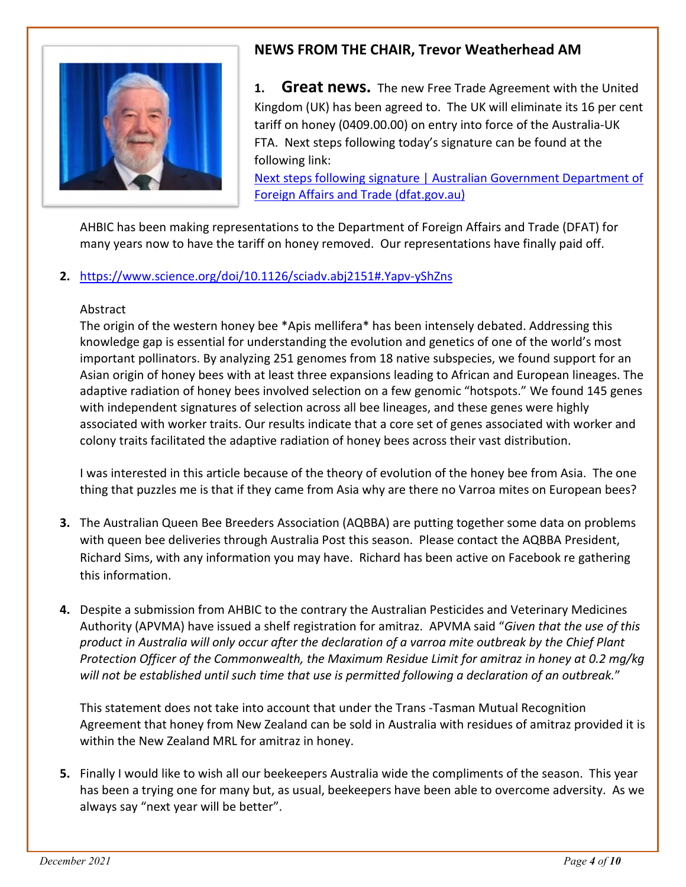

## **NEWS FROM THE CHAIR, Trevor Weatherhead AM**

**1. Great news.** The new Free Trade Agreement with the United Kingdom (UK) has been agreed to. The UK will eliminate its 16 per cent tariff on honey (0409.00.00) on entry into force of the Australia-UK FTA. Next steps following today's signature can be found at the following link:

[Next steps following signature | Australian Government Department of](https://www.dfat.gov.au/trade-and-investment/next-steps-following-signature)  [Foreign Affairs and Trade \(dfat.gov.au\)](https://www.dfat.gov.au/trade-and-investment/next-steps-following-signature)

AHBIC has been making representations to the Department of Foreign Affairs and Trade (DFAT) for many years now to have the tariff on honey removed. Our representations have finally paid off.

## **2.** <https://www.science.org/doi/10.1126/sciadv.abj2151#.Yapv-yShZns>

### Abstract

The origin of the western honey bee \*Apis mellifera\* has been intensely debated. Addressing this knowledge gap is essential for understanding the evolution and genetics of one of the world's most important pollinators. By analyzing 251 genomes from 18 native subspecies, we found support for an Asian origin of honey bees with at least three expansions leading to African and European lineages. The adaptive radiation of honey bees involved selection on a few genomic "hotspots." We found 145 genes with independent signatures of selection across all bee lineages, and these genes were highly associated with worker traits. Our results indicate that a core set of genes associated with worker and colony traits facilitated the adaptive radiation of honey bees across their vast distribution.

I was interested in this article because of the theory of evolution of the honey bee from Asia. The one thing that puzzles me is that if they came from Asia why are there no Varroa mites on European bees?

- **3.** The Australian Queen Bee Breeders Association (AQBBA) are putting together some data on problems with queen bee deliveries through Australia Post this season. Please contact the AQBBA President, Richard Sims, with any information you may have. Richard has been active on Facebook re gathering this information.
- **4.** Despite a submission from AHBIC to the contrary the Australian Pesticides and Veterinary Medicines Authority (APVMA) have issued a shelf registration for amitraz. APVMA said "*Given that the use of this product in Australia will only occur after the declaration of a varroa mite outbreak by the Chief Plant Protection Officer of the Commonwealth, the Maximum Residue Limit for amitraz in honey at 0.2 mg/kg will not be established until such time that use is permitted following a declaration of an outbreak.*"

This statement does not take into account that under the Trans -Tasman Mutual Recognition Agreement that honey from New Zealand can be sold in Australia with residues of amitraz provided it is within the New Zealand MRL for amitraz in honey.

**5.** Finally I would like to wish all our beekeepers Australia wide the compliments of the season. This year has been a trying one for many but, as usual, beekeepers have been able to overcome adversity. As we always say "next year will be better".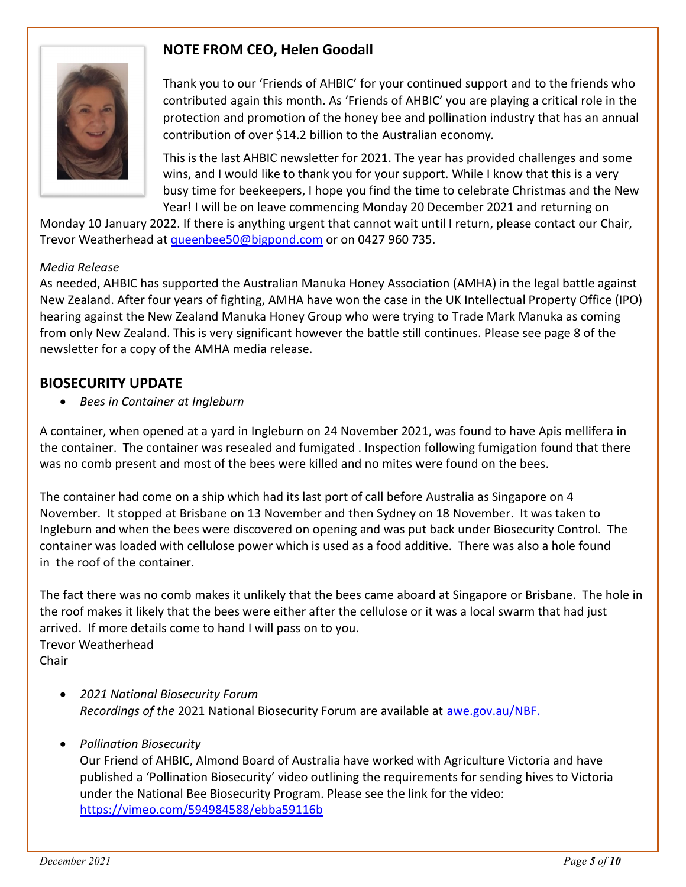## **NOTE FROM CEO, Helen Goodall**



Thank you to our 'Friends of AHBIC' for your continued support and to the friends who contributed again this month. As 'Friends of AHBIC' you are playing a critical role in the protection and promotion of the honey bee and pollination industry that has an annual contribution of over \$14.2 billion to the Australian economy*.* 

This is the last AHBIC newsletter for 2021. The year has provided challenges and some wins, and I would like to thank you for your support. While I know that this is a very busy time for beekeepers, I hope you find the time to celebrate Christmas and the New Year! I will be on leave commencing Monday 20 December 2021 and returning on

Monday 10 January 2022. If there is anything urgent that cannot wait until I return, please contact our Chair, Trevor Weatherhead at [queenbee50@bigpond.com](mailto:queenbee50@bigpond.com) or on 0427 960 735.

### *Media Release*

As needed, AHBIC has supported the Australian Manuka Honey Association (AMHA) in the legal battle against New Zealand. After four years of fighting, AMHA have won the case in the UK Intellectual Property Office (IPO) hearing against the New Zealand Manuka Honey Group who were trying to Trade Mark Manuka as coming from only New Zealand. This is very significant however the battle still continues. Please see page 8 of the newsletter for a copy of the AMHA media release.

## **BIOSECURITY UPDATE**

• *Bees in Container at Ingleburn*

A container, when opened at a yard in Ingleburn on 24 November 2021, was found to have Apis mellifera in the container. The container was resealed and fumigated . Inspection following fumigation found that there was no comb present and most of the bees were killed and no mites were found on the bees.

The container had come on a ship which had its last port of call before Australia as Singapore on 4 November. It stopped at Brisbane on 13 November and then Sydney on 18 November. It was taken to Ingleburn and when the bees were discovered on opening and was put back under Biosecurity Control. The container was loaded with cellulose power which is used as a food additive. There was also a hole found in the roof of the container.

The fact there was no comb makes it unlikely that the bees came aboard at Singapore or Brisbane. The hole in the roof makes it likely that the bees were either after the cellulose or it was a local swarm that had just arrived. If more details come to hand I will pass on to you. Trevor Weatherhead Chair

- *2021 National Biosecurity Forum Recordings of the* 2021 National Biosecurity Forum are available at [awe.gov.au/NBF.](https://clicks.eventbrite.com/f/a/kxM400AesCaLAo0-kO5mEg%7E%7E/AAQxAQA%7E/RgRjeBE3P0RbaHR0cHM6Ly93d3cuYXdlLmdvdi5hdS9iaW9zZWN1cml0eS10cmFkZS9wb2xpY3kvcGFydG5lcnNoaXBzL25iYy9uYXRpb25hbC1iaW9zZWN1cml0eS1mb3J1bVcDc3BjQgphk7fdlmFA-daoUhVhaGJpY0Bob25leWJlZS5vcmcuYXVYBAAAAAA%7E)
- *Pollination Biosecurity*

Our Friend of AHBIC, Almond Board of Australia have worked with Agriculture Victoria and have published a 'Pollination Biosecurity' video outlining the requirements for sending hives to Victoria under the National Bee Biosecurity Program. Please see the link for the video: <https://vimeo.com/594984588/ebba59116b>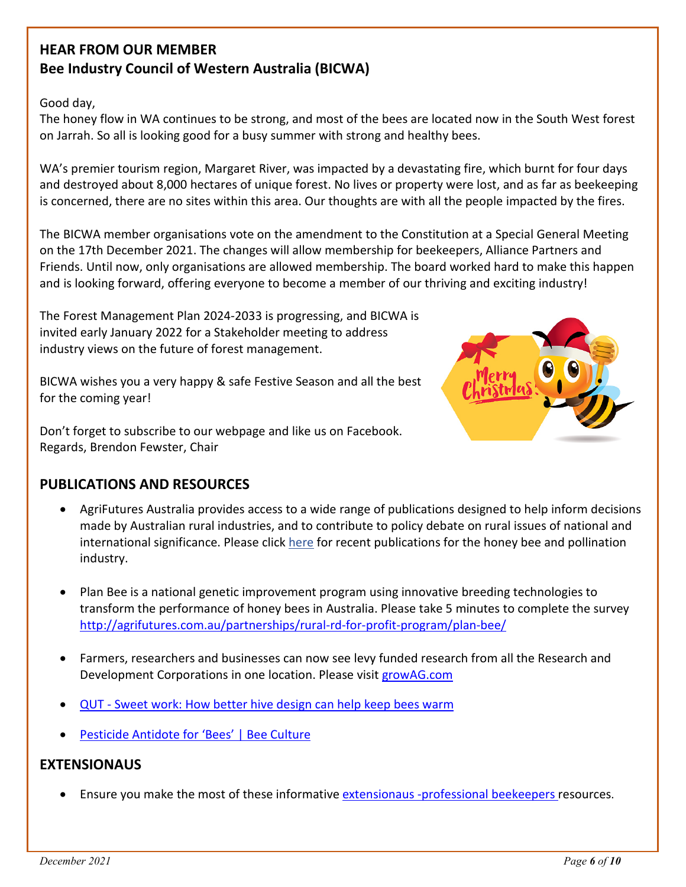## **HEAR FROM OUR MEMBER Bee Industry Council of Western Australia (BICWA)**

## Good day,

The honey flow in WA continues to be strong, and most of the bees are located now in the South West forest on Jarrah. So all is looking good for a busy summer with strong and healthy bees.

WA's premier tourism region, Margaret River, was impacted by a devastating fire, which burnt for four days and destroyed about 8,000 hectares of unique forest. No lives or property were lost, and as far as beekeeping is concerned, there are no sites within this area. Our thoughts are with all the people impacted by the fires.

The BICWA member organisations vote on the amendment to the Constitution at a Special General Meeting on the 17th December 2021. The changes will allow membership for beekeepers, Alliance Partners and Friends. Until now, only organisations are allowed membership. The board worked hard to make this happen and is looking forward, offering everyone to become a member of our thriving and exciting industry!

The Forest Management Plan 2024-2033 is progressing, and BICWA is invited early January 2022 for a Stakeholder meeting to address industry views on the future of forest management.

BICWA wishes you a very happy & safe Festive Season and all the best for the coming year!

Don't forget to subscribe to [our webpage](https://www.bicwa.com.au/) and like us on [Facebook.](https://www.facebook.com/BICWA) Regards, Brendon Fewster, Chair



## **PUBLICATIONS AND RESOURCES**

- AgriFutures Australia provides access to a wide range of publications designed to help inform decisions made by Australian rural industries, and to contribute to policy debate on rural issues of national and international significance. Please clic[k here](https://www.agrifutures.com.au/publications-resources/publications/?fwp_rural-industries=hbe) for recent publications for the honey bee and pollination industry.
- Plan Bee is a national genetic improvement program using innovative breeding technologies to transform the performance of honey bees in Australia. Please take 5 minutes to complete the survey <http://agrifutures.com.au/partnerships/rural-rd-for-profit-program/plan-bee/>
- Farmers, researchers and businesses can now see levy funded research from all the Research and Development Corporations in one location. Please visit [growAG.com](https://em.agrifutures.com.au/NjQzLU5PRy0zMDAAAAF8YnVJ1_g-GM9h-5Psfs3g8zAoTAvLnZ268Zmh290Blyit8oP8aZqkwBhWlKiRn3N1thydL98=)
- QUT [Sweet work: How better hive design can help keep bees warm](https://www.qut.edu.au/news?id=178727)
- [Pesticide Antidote for 'Bees' | Bee Culture](https://www.beeculture.com/pesticide-antidote-for-bees/)

## **EXTENSIONAUS**

• Ensure you make the most of these informative [extensionaus -professional beekeepers](https://extensionaus.com.au/professionalbeekeepers/home) resources.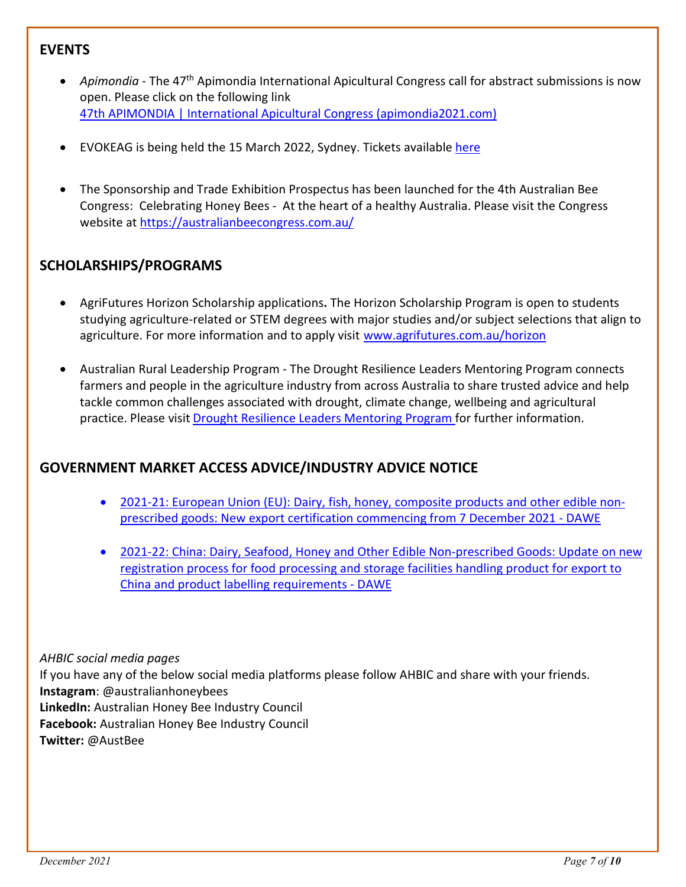## **EVENTS**

- *Apimondia -* The 47<sup>th</sup> Apimondia International Apicultural Congress call for abstract submissions is now open. Please click on the following link [47th APIMONDIA | International Apicultural Congress \(apimondia2021.com\)](https://apimondia2021.com/)
- EVOKEAG is being held the 15 March 2022, Sydney. Tickets available [here](https://evokeag.com/events/)
- The Sponsorship and Trade Exhibition Prospectus has been launched for the 4th Australian Bee Congress: Celebrating Honey Bees - At the heart of a healthy Australia. Please visit the Congress website at<https://australianbeecongress.com.au/>

## **SCHOLARSHIPS/PROGRAMS**

- AgriFutures Horizon Scholarship applications**.** The Horizon Scholarship Program is open to students studying agriculture-related or STEM degrees with major studies and/or subject selections that align to agriculture. For more information and to apply visit [www.agrifutures.com.au/horizon](https://em.agrifutures.com.au/NjQzLU5PRy0zMDAAAAGAvzkzlQJILchQAI5uWQ7F6ViJ1VuplFcaswK4ak2HRVp86NRz9ZjMLzaoTy0kN7tSjfX92U4=)
- Australian Rural Leadership Program The Drought Resilience Leaders Mentoring Program connects farmers and people in the agriculture industry from across Australia to share trusted advice and help tackle common challenges associated with drought, climate change, wellbeing and agricultural practice. Please visit [Drought Resilience Leaders Mentoring Program f](https://rural-leaders.org.au/programs/drought-resilience-leaders-program/drought-resilience-leaders-mentor-program/)or further information.

## **GOVERNMENT MARKET ACCESS ADVICE/INDUSTRY ADVICE NOTICE**

- [2021-21: European Union \(EU\): Dairy, fish, honey, composite products and other edible non](https://www.awe.gov.au/biosecurity-trade/export/controlled-goods/non-prescribed-goods/market-access-advice-notices/2021-21)[prescribed goods: New export certification commencing from 7 December 2021 -](https://www.awe.gov.au/biosecurity-trade/export/controlled-goods/non-prescribed-goods/market-access-advice-notices/2021-21) DAWE
- [2021-22: China: Dairy, Seafood, Honey and Other Edible Non-prescribed Goods: Update on new](https://www.awe.gov.au/biosecurity-trade/export/controlled-goods/non-prescribed-goods/market-access-advice-notices/2021-22)  [registration process for food processing and storage facilities handling product for export to](https://www.awe.gov.au/biosecurity-trade/export/controlled-goods/non-prescribed-goods/market-access-advice-notices/2021-22)  [China and product labelling requirements -](https://www.awe.gov.au/biosecurity-trade/export/controlled-goods/non-prescribed-goods/market-access-advice-notices/2021-22) DAWE

*AHBIC social media pages*

If you have any of the below social media platforms please follow AHBIC and share with your friends. **Instagram**: @australianhoneybees **LinkedIn:** Australian Honey Bee Industry Council **Facebook:** Australian Honey Bee Industry Council **Twitter:** @AustBee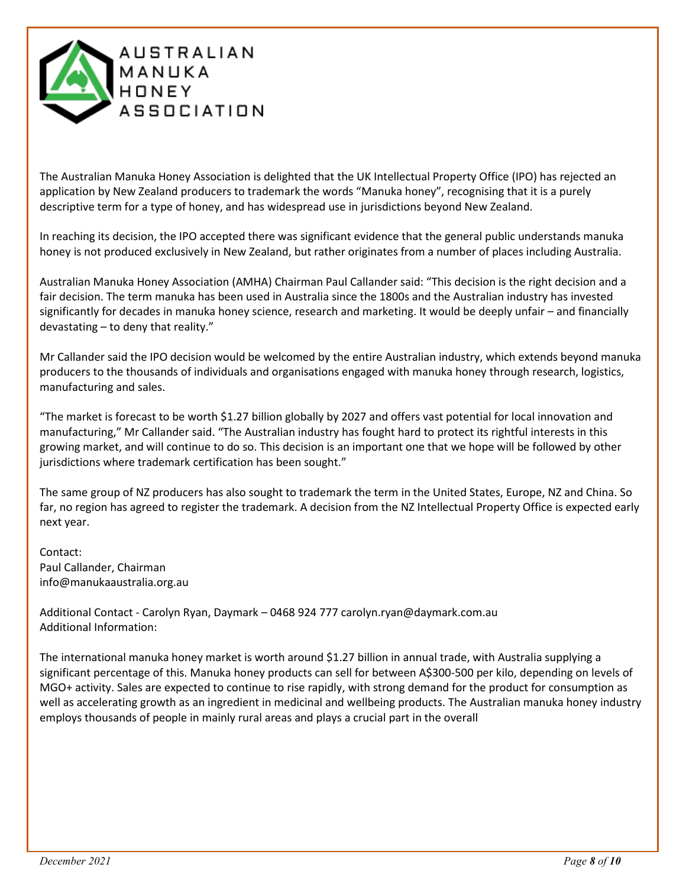

The Australian Manuka Honey Association is delighted that the UK Intellectual Property Office (IPO) has rejected an application by New Zealand producers to trademark the words "Manuka honey", recognising that it is a purely descriptive term for a type of honey, and has widespread use in jurisdictions beyond New Zealand.

In reaching its decision, the IPO accepted there was significant evidence that the general public understands manuka honey is not produced exclusively in New Zealand, but rather originates from a number of places including Australia.

Australian Manuka Honey Association (AMHA) Chairman Paul Callander said: "This decision is the right decision and a fair decision. The term manuka has been used in Australia since the 1800s and the Australian industry has invested significantly for decades in manuka honey science, research and marketing. It would be deeply unfair – and financially devastating – to deny that reality."

Mr Callander said the IPO decision would be welcomed by the entire Australian industry, which extends beyond manuka producers to the thousands of individuals and organisations engaged with manuka honey through research, logistics, manufacturing and sales.

"The market is forecast to be worth \$1.27 billion globally by 2027 and offers vast potential for local innovation and manufacturing," Mr Callander said. "The Australian industry has fought hard to protect its rightful interests in this growing market, and will continue to do so. This decision is an important one that we hope will be followed by other jurisdictions where trademark certification has been sought."

The same group of NZ producers has also sought to trademark the term in the United States, Europe, NZ and China. So far, no region has agreed to register the trademark. A decision from the NZ Intellectual Property Office is expected early next year.

Contact: Paul Callander, Chairman info@manukaaustralia.org.au

Additional Contact - Carolyn Ryan, Daymark – 0468 924 777 carolyn.ryan@daymark.com.au Additional Information:

The international manuka honey market is worth around \$1.27 billion in annual trade, with Australia supplying a significant percentage of this. Manuka honey products can sell for between A\$300-500 per kilo, depending on levels of MGO+ activity. Sales are expected to continue to rise rapidly, with strong demand for the product for consumption as well as accelerating growth as an ingredient in medicinal and wellbeing products. The Australian manuka honey industry employs thousands of people in mainly rural areas and plays a crucial part in the overall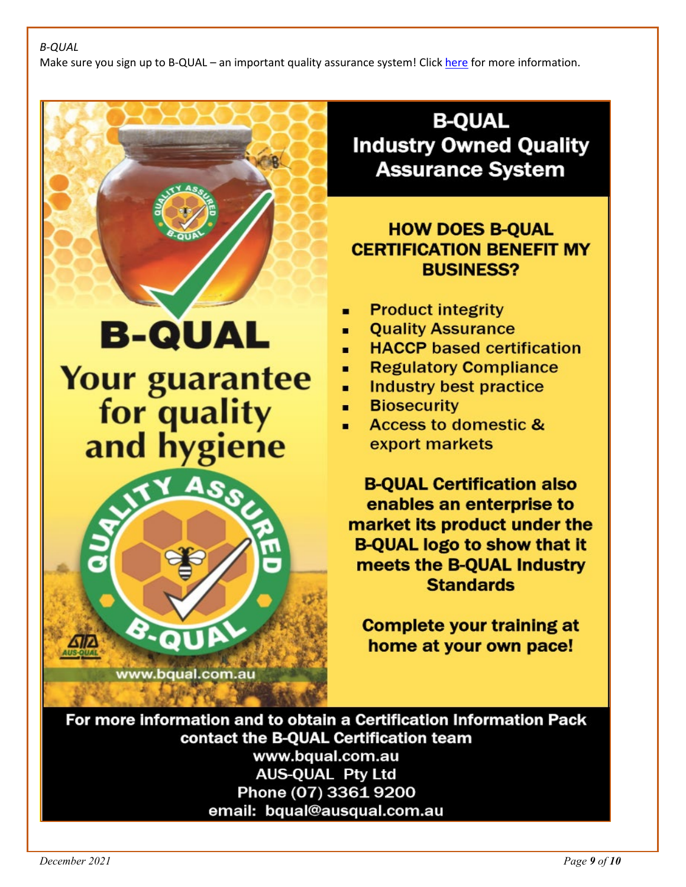Make sure you sign up to B-QUAL – an important quality assurance system! Clic[k here](http://bqual.com.au/) for more information.

**B-QUAL Your guarantee** : Regulatory Compliance for quality : Biosecurity<br>
and hygiene and hygiene www.bqual.com.au

**B-QUAL Industry Owned Quality Assurance System** 

# **HOW DOES B-OUAL CERTIFICATION BENEFIT MY BUSINESS?**

- **Product integrity**
- **Quality Assurance**
- **HACCP** based certification
- Regulatory Compliance
- 
- 
- 

**B-QUAL Certification also** enables an enterprise to market its product under the **B-QUAL logo to show that it** meets the B-QUAL Industry **Standards** 

**Complete your training at** home at your own pace!

For more information and to obtain a Certification Information Pack contact the B-QUAL Certification team www.bqual.com.au **AUS-QUAL Pty Ltd** Phone (07) 3361 9200 email: bqual@ausqual.com.au